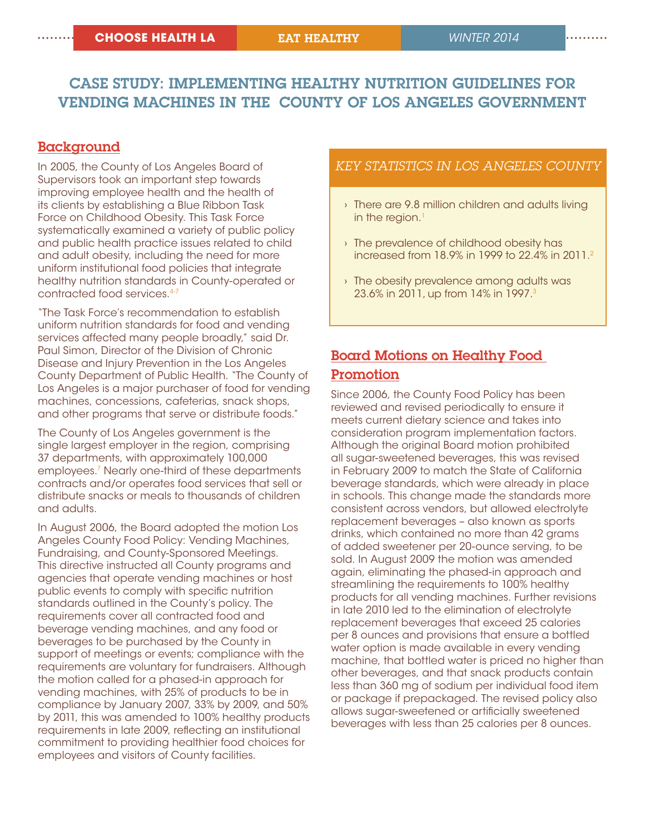# case study: Implementing Healthy Nutrition guidelines for Vending Machines in the County of Los Angeles Government

## Background

In 2005, the County of Los Angeles Board of Supervisors took an important step towards improving employee health and the health of its clients by establishing a Blue Ribbon Task Force on Childhood Obesity. This Task Force systematically examined a variety of public policy and public health practice issues related to child and adult obesity, including the need for more uniform institutional food policies that integrate healthy nutrition standards in County-operated or contracted food services.4-7

"The Task Force's recommendation to establish uniform nutrition standards for food and vending services affected many people broadly," said Dr. Paul Simon, Director of the Division of Chronic Disease and Injury Prevention in the Los Angeles County Department of Public Health. "The County of Los Angeles is a major purchaser of food for vending machines, concessions, cafeterias, snack shops, and other programs that serve or distribute foods."

The County of Los Angeles government is the single largest employer in the region, comprising 37 departments, with approximately 100,000 employees.7 Nearly one-third of these departments contracts and/or operates food services that sell or distribute snacks or meals to thousands of children and adults.

In August 2006, the Board adopted the motion Los Angeles County Food Policy: Vending Machines, Fundraising, and County-Sponsored Meetings. This directive instructed all County programs and agencies that operate vending machines or host public events to comply with specific nutrition standards outlined in the County's policy. The requirements cover all contracted food and beverage vending machines, and any food or beverages to be purchased by the County in support of meetings or events; compliance with the requirements are voluntary for fundraisers. Although the motion called for a phased-in approach for vending machines, with 25% of products to be in compliance by January 2007, 33% by 2009, and 50% by 2011, this was amended to 100% healthy products requirements in late 2009, reflecting an institutional commitment to providing healthier food choices for employees and visitors of County facilities.

## *key statistics in los angeles county*

- › There are 9.8 million children and adults living in the region. $<sup>1</sup>$ </sup>
- › The prevalence of childhood obesity has increased from 18.9% in 1999 to 22.4% in 2011.2
- › The obesity prevalence among adults was 23.6% in 2011, up from 14% in 1997.<sup>3</sup>

# Board Motions on Healthy Food Promotion

Since 2006, the County Food Policy has been reviewed and revised periodically to ensure it meets current dietary science and takes into consideration program implementation factors. Although the original Board motion prohibited all sugar-sweetened beverages, this was revised in February 2009 to match the State of California beverage standards, which were already in place in schools. This change made the standards more consistent across vendors, but allowed electrolyte replacement beverages – also known as sports drinks, which contained no more than 42 grams of added sweetener per 20-ounce serving, to be sold. In August 2009 the motion was amended again, eliminating the phased-in approach and streamlining the requirements to 100% healthy products for all vending machines. Further revisions in late 2010 led to the elimination of electrolyte replacement beverages that exceed 25 calories per 8 ounces and provisions that ensure a bottled water option is made available in every vending machine, that bottled water is priced no higher than other beverages, and that snack products contain less than 360 mg of sodium per individual food item or package if prepackaged. The revised policy also allows sugar-sweetened or artificially sweetened beverages with less than 25 calories per 8 ounces.